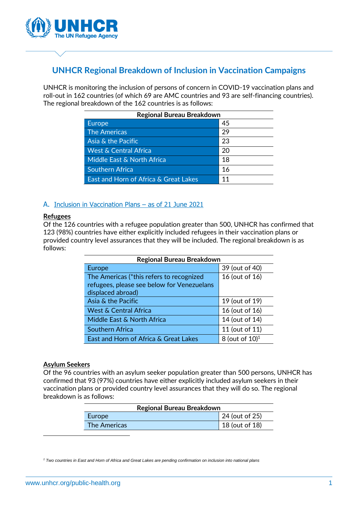

# **UNHCR Regional Breakdown of Inclusion in Vaccination Campaigns**

UNHCR is monitoring the inclusion of persons of concern in COVID-19 vaccination plans and roll-out in 162 countries (of which 69 are AMC countries and 93 are self-financing countries). The regional breakdown of the 162 countries is as follows:

| <b>Regional Bureau Breakdown</b>      |    |  |
|---------------------------------------|----|--|
| <b>Europe</b>                         | 45 |  |
| <b>The Americas</b>                   | 29 |  |
| Asia & the Pacific                    | 23 |  |
| <b>West &amp; Central Africa</b>      | 20 |  |
| Middle East & North Africa            | 18 |  |
| <b>Southern Africa</b>                | 16 |  |
| East and Horn of Africa & Great Lakes | 11 |  |

## A. Inclusion in Vaccination Plans – as of 21 June 2021

#### **Refugees**

Of the 126 countries with a refugee population greater than 500, UNHCR has confirmed that 123 (98%) countries have either explicitly included refugees in their vaccination plans or provided country level assurances that they will be included. The regional breakdown is as follows:

| <b>Regional Bureau Breakdown</b>           |                               |  |
|--------------------------------------------|-------------------------------|--|
| <b>Europe</b>                              | 39 (out of 40)                |  |
| The Americas (*this refers to recognized   | 16 (out of 16)                |  |
| refugees, please see below for Venezuelans |                               |  |
| displaced abroad)                          |                               |  |
| Asia & the Pacific                         | 19 (out of 19)                |  |
| <b>West &amp; Central Africa</b>           | 16 (out of 16)                |  |
| Middle East & North Africa                 | 14 (out of 14)                |  |
| <b>Southern Africa</b>                     | 11 (out of 11)                |  |
| East and Horn of Africa & Great Lakes      | 8 (out of $10$ ) <sup>1</sup> |  |

#### **Asylum Seekers**

Of the 96 countries with an asylum seeker population greater than 500 persons, UNHCR has confirmed that 93 (97%) countries have either explicitly included asylum seekers in their vaccination plans or provided country level assurances that they will do so. The regional breakdown is as follows:

| <b>Regional Bureau Breakdown</b> |                |  |
|----------------------------------|----------------|--|
| Europe                           | 24 (out of 25) |  |
| <b>The Americas</b>              | 18 (out of 18) |  |

*<sup>1</sup> Two countries in East and Horn of Africa and Great Lakes are pending confirmation on inclusion into national plans*